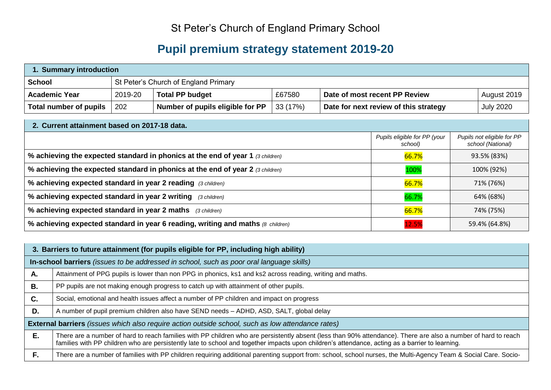## St Peter's Church of England Primary School

## **Pupil premium strategy statement 2019-20**

| 1. Summary introduction |         |                                      |         |                                       |                  |  |
|-------------------------|---------|--------------------------------------|---------|---------------------------------------|------------------|--|
| School                  |         | St Peter's Church of England Primary |         |                                       |                  |  |
| <b>Academic Year</b>    | 2019-20 | <b>Total PP budget</b>               | £67580  | Date of most recent PP Review         | August 2019      |  |
| Total number of pupils  | 202     | Number of pupils eligible for PP     | 33(17%) | Date for next review of this strategy | <b>July 2020</b> |  |

| 2. Current attainment based on 2017-18 data.                                         |                                         |                                                 |  |  |
|--------------------------------------------------------------------------------------|-----------------------------------------|-------------------------------------------------|--|--|
|                                                                                      | Pupils eligible for PP (your<br>school) | Pupils not eligible for PP<br>school (National) |  |  |
| % achieving the expected standard in phonics at the end of year 1 (3 children)       | 66.7%                                   | 93.5% (83%)                                     |  |  |
| % achieving the expected standard in phonics at the end of year 2 (3 children)       | 100%                                    | 100% (92%)                                      |  |  |
| % achieving expected standard in year 2 reading (3 children)                         | 66.7%                                   | 71% (76%)                                       |  |  |
| % achieving expected standard in year 2 writing<br>(3 children)                      | 66.7%                                   | 64% (68%)                                       |  |  |
| % achieving expected standard in year 2 maths (3 children)                           | 66.7%                                   | 74% (75%)                                       |  |  |
| % achieving expected standard in year 6 reading, writing and maths $\beta$ children) | 12.5%                                   | 59.4% (64.8%)                                   |  |  |

|    | 3. Barriers to future attainment (for pupils eligible for PP, including high ability)                                                                                                                                                                                                                             |  |  |  |  |  |
|----|-------------------------------------------------------------------------------------------------------------------------------------------------------------------------------------------------------------------------------------------------------------------------------------------------------------------|--|--|--|--|--|
|    | In-school barriers (issues to be addressed in school, such as poor oral language skills)                                                                                                                                                                                                                          |  |  |  |  |  |
| Α. | Attainment of PPG pupils is lower than non PPG in phonics, ks1 and ks2 across reading, writing and maths.                                                                                                                                                                                                         |  |  |  |  |  |
| В. | PP pupils are not making enough progress to catch up with attainment of other pupils.                                                                                                                                                                                                                             |  |  |  |  |  |
| C. | Social, emotional and health issues affect a number of PP children and impact on progress                                                                                                                                                                                                                         |  |  |  |  |  |
| D. | A number of pupil premium children also have SEND needs - ADHD, ASD, SALT, global delay                                                                                                                                                                                                                           |  |  |  |  |  |
|    | <b>External barriers</b> (issues which also require action outside school, such as low attendance rates)                                                                                                                                                                                                          |  |  |  |  |  |
| Е. | There are a number of hard to reach families with PP children who are persistently absent (less than 90% attendance). There are also a number of hard to reach<br>families with PP children who are persistently late to school and together impacts upon children's attendance, acting as a barrier to learning. |  |  |  |  |  |
| F. | There are a number of families with PP children requiring additional parenting support from: school, school nurses, the Multi-Agency Team & Social Care. Socio-                                                                                                                                                   |  |  |  |  |  |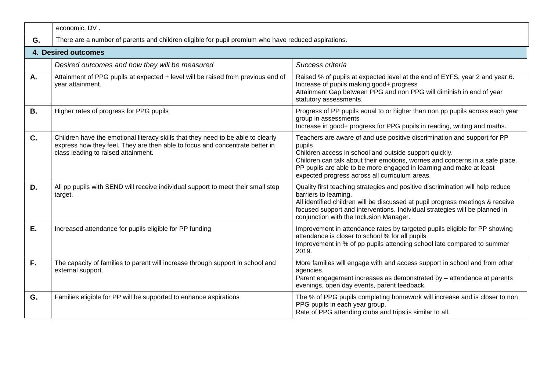|           | economic, DV.                                                                                                                                                                                           |                                                                                                                                                                                                                                                                                                                                                        |  |  |  |  |
|-----------|---------------------------------------------------------------------------------------------------------------------------------------------------------------------------------------------------------|--------------------------------------------------------------------------------------------------------------------------------------------------------------------------------------------------------------------------------------------------------------------------------------------------------------------------------------------------------|--|--|--|--|
| G.        | There are a number of parents and children eligible for pupil premium who have reduced aspirations.                                                                                                     |                                                                                                                                                                                                                                                                                                                                                        |  |  |  |  |
|           | 4. Desired outcomes                                                                                                                                                                                     |                                                                                                                                                                                                                                                                                                                                                        |  |  |  |  |
|           | Desired outcomes and how they will be measured                                                                                                                                                          | Success criteria                                                                                                                                                                                                                                                                                                                                       |  |  |  |  |
| Α.        | Attainment of PPG pupils at expected + level will be raised from previous end of<br>year attainment.                                                                                                    | Raised % of pupils at expected level at the end of EYFS, year 2 and year 6.<br>Increase of pupils making good+ progress<br>Attainment Gap between PPG and non PPG will diminish in end of year<br>statutory assessments.                                                                                                                               |  |  |  |  |
| <b>B.</b> | Higher rates of progress for PPG pupils                                                                                                                                                                 | Progress of PP pupils equal to or higher than non pp pupils across each year<br>group in assessments<br>Increase in good+ progress for PPG pupils in reading, writing and maths.                                                                                                                                                                       |  |  |  |  |
| C.        | Children have the emotional literacy skills that they need to be able to clearly<br>express how they feel. They are then able to focus and concentrate better in<br>class leading to raised attainment. | Teachers are aware of and use positive discrimination and support for PP<br>pupils<br>Children access in school and outside support quickly.<br>Children can talk about their emotions, worries and concerns in a safe place.<br>PP pupils are able to be more engaged in learning and make at least<br>expected progress across all curriculum areas. |  |  |  |  |
| D.        | All pp pupils with SEND will receive individual support to meet their small step<br>target.                                                                                                             | Quality first teaching strategies and positive discrimination will help reduce<br>barriers to learning.<br>All identified children will be discussed at pupil progress meetings & receive<br>focused support and interventions. Individual strategies will be planned in<br>conjunction with the Inclusion Manager.                                    |  |  |  |  |
| Ε.        | Increased attendance for pupils eligible for PP funding                                                                                                                                                 | Improvement in attendance rates by targeted pupils eligible for PP showing<br>attendance is closer to school % for all pupils<br>Improvement in % of pp pupils attending school late compared to summer<br>2019.                                                                                                                                       |  |  |  |  |
| F.        | The capacity of families to parent will increase through support in school and<br>external support.                                                                                                     | More families will engage with and access support in school and from other<br>agencies.<br>Parent engagement increases as demonstrated by - attendance at parents<br>evenings, open day events, parent feedback.                                                                                                                                       |  |  |  |  |
| G.        | Families eligible for PP will be supported to enhance aspirations                                                                                                                                       | The % of PPG pupils completing homework will increase and is closer to non<br>PPG pupils in each year group.<br>Rate of PPG attending clubs and trips is similar to all.                                                                                                                                                                               |  |  |  |  |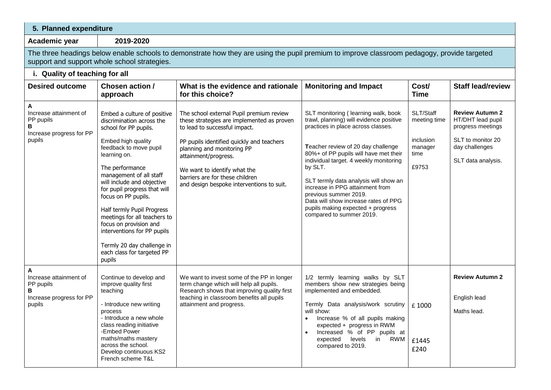| 5. Planned expenditure                                                              |                                                                                                                                                                                                                                                                                                                                                                                                                                                                                   |                                                                                                                                                                                                                                                                                                                                            |                                                                                                                                                                                                                                                                                                                                                                                                                                                                         |                                                                    |                                                                                                                               |  |  |
|-------------------------------------------------------------------------------------|-----------------------------------------------------------------------------------------------------------------------------------------------------------------------------------------------------------------------------------------------------------------------------------------------------------------------------------------------------------------------------------------------------------------------------------------------------------------------------------|--------------------------------------------------------------------------------------------------------------------------------------------------------------------------------------------------------------------------------------------------------------------------------------------------------------------------------------------|-------------------------------------------------------------------------------------------------------------------------------------------------------------------------------------------------------------------------------------------------------------------------------------------------------------------------------------------------------------------------------------------------------------------------------------------------------------------------|--------------------------------------------------------------------|-------------------------------------------------------------------------------------------------------------------------------|--|--|
| Academic year                                                                       | 2019-2020                                                                                                                                                                                                                                                                                                                                                                                                                                                                         |                                                                                                                                                                                                                                                                                                                                            |                                                                                                                                                                                                                                                                                                                                                                                                                                                                         |                                                                    |                                                                                                                               |  |  |
|                                                                                     | support and support whole school strategies.                                                                                                                                                                                                                                                                                                                                                                                                                                      | The three headings below enable schools to demonstrate how they are using the pupil premium to improve classroom pedagogy, provide targeted                                                                                                                                                                                                |                                                                                                                                                                                                                                                                                                                                                                                                                                                                         |                                                                    |                                                                                                                               |  |  |
|                                                                                     | i. Quality of teaching for all                                                                                                                                                                                                                                                                                                                                                                                                                                                    |                                                                                                                                                                                                                                                                                                                                            |                                                                                                                                                                                                                                                                                                                                                                                                                                                                         |                                                                    |                                                                                                                               |  |  |
| <b>Desired outcome</b>                                                              | Chosen action /<br>approach                                                                                                                                                                                                                                                                                                                                                                                                                                                       | What is the evidence and rationale<br>for this choice?                                                                                                                                                                                                                                                                                     | <b>Monitoring and Impact</b>                                                                                                                                                                                                                                                                                                                                                                                                                                            | Cost/<br><b>Time</b>                                               | <b>Staff lead/review</b>                                                                                                      |  |  |
| Α<br>Increase attainment of<br>PP pupils<br>В<br>Increase progress for PP<br>pupils | Embed a culture of positive<br>discrimination across the<br>school for PP pupils.<br>Embed high quality<br>feedback to move pupil<br>learning on.<br>The performance<br>management of all staff<br>will include and objective<br>for pupil progress that will<br>focus on PP pupils.<br>Half termly Pupil Progress<br>meetings for all teachers to<br>focus on provision and<br>interventions for PP pupils<br>Termly 20 day challenge in<br>each class for targeted PP<br>pupils | The school external Pupil premium review<br>these strategies are implemented as proven<br>to lead to successful impact.<br>PP pupils identified quickly and teachers<br>planning and monitoring PP<br>attainment/progress.<br>We want to identify what the<br>barriers are for these children<br>and design bespoke interventions to suit. | SLT monitoring ( learning walk, book<br>trawl, planning) will evidence positive<br>practices in place across classes.<br>Teacher review of 20 day challenge<br>80%+ of PP pupils will have met their<br>individual target. 4 weekly monitoring<br>by SLT.<br>SLT termly data analysis will show an<br>increase in PPG attainment from<br>previous summer 2019.<br>Data will show increase rates of PPG<br>pupils making expected + progress<br>compared to summer 2019. | SLT/Staff<br>meeting time<br>inclusion<br>manager<br>time<br>£9753 | <b>Review Autumn 2</b><br>HT/DHT lead pupil<br>progress meetings<br>SLT to monitor 20<br>day challenges<br>SLT data analysis. |  |  |
| Α<br>Increase attainment of<br>PP pupils<br>В<br>Increase progress for PP<br>pupils | Continue to develop and<br>improve quality first<br>teaching<br>- Introduce new writing<br>process<br>- Introduce a new whole<br>class reading initiative<br>-Embed Power<br>maths/maths mastery<br>across the school.<br>Develop continuous KS2<br>French scheme T&L                                                                                                                                                                                                             | We want to invest some of the PP in longer<br>term change which will help all pupils.<br>Research shows that improving quality first<br>teaching in classroom benefits all pupils<br>attainment and progress.                                                                                                                              | 1/2 termly learning walks by SLT<br>members show new strategies being<br>implemented and embedded.<br>Termly Data analysis/work scrutiny<br>will show:<br>Increase % of all pupils making<br>expected + progress in RWM<br>Increased % of PP pupils at<br>in RWM<br>levels<br>expected<br>compared to 2019.                                                                                                                                                             | £1000<br>£1445<br>£240                                             | <b>Review Autumn 2</b><br>English lead<br>Maths lead.                                                                         |  |  |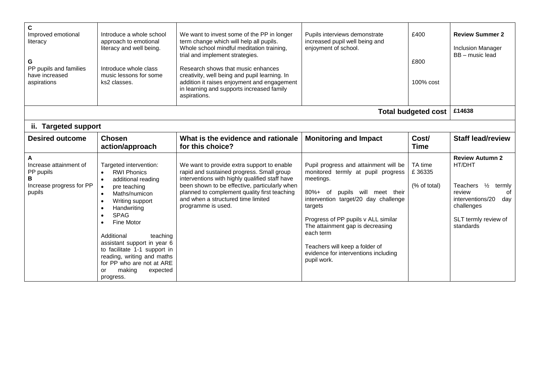| C<br>Improved emotional<br>literacy<br>G<br>PP pupils and families<br>have increased<br>aspirations | Introduce a whole school<br>approach to emotional<br>literacy and well being.<br>Introduce whole class<br>music lessons for some<br>ks2 classes.                                                                                                                                                                                                                                                                                 | We want to invest some of the PP in longer<br>term change which will help all pupils.<br>Whole school mindful meditation training,<br>trial and implement strategies.<br>Research shows that music enhances<br>creativity, well being and pupil learning. In<br>addition it raises enjoyment and engagement<br>in learning and supports increased family<br>aspirations. | Pupils interviews demonstrate<br>increased pupil well being and<br>enjoyment of school.                                                                                                                                                                                                                                                                        | £400<br>£800<br>100% cost         | <b>Review Summer 2</b><br><b>Inclusion Manager</b><br>BB - music lead                                                                                              |
|-----------------------------------------------------------------------------------------------------|----------------------------------------------------------------------------------------------------------------------------------------------------------------------------------------------------------------------------------------------------------------------------------------------------------------------------------------------------------------------------------------------------------------------------------|--------------------------------------------------------------------------------------------------------------------------------------------------------------------------------------------------------------------------------------------------------------------------------------------------------------------------------------------------------------------------|----------------------------------------------------------------------------------------------------------------------------------------------------------------------------------------------------------------------------------------------------------------------------------------------------------------------------------------------------------------|-----------------------------------|--------------------------------------------------------------------------------------------------------------------------------------------------------------------|
|                                                                                                     |                                                                                                                                                                                                                                                                                                                                                                                                                                  |                                                                                                                                                                                                                                                                                                                                                                          |                                                                                                                                                                                                                                                                                                                                                                | <b>Total budgeted cost</b>        | £14638                                                                                                                                                             |
| ii. Targeted support                                                                                |                                                                                                                                                                                                                                                                                                                                                                                                                                  |                                                                                                                                                                                                                                                                                                                                                                          |                                                                                                                                                                                                                                                                                                                                                                |                                   |                                                                                                                                                                    |
| <b>Desired outcome</b>                                                                              | <b>Chosen</b><br>action/approach                                                                                                                                                                                                                                                                                                                                                                                                 | What is the evidence and rationale<br>for this choice?                                                                                                                                                                                                                                                                                                                   | <b>Monitoring and Impact</b>                                                                                                                                                                                                                                                                                                                                   | Cost/<br><b>Time</b>              | <b>Staff lead/review</b>                                                                                                                                           |
| Increase attainment of<br>PP pupils<br>B<br>Increase progress for PP<br>pupils                      | Targeted intervention:<br><b>RWI Phonics</b><br>additional reading<br>$\bullet$<br>pre teaching<br>Maths/numicon<br>Writing support<br>$\bullet$<br>Handwriting<br>$\bullet$<br><b>SPAG</b><br>$\bullet$<br>Fine Motor<br>$\bullet$<br>Additional<br>teaching<br>assistant support in year 6<br>to facilitate 1-1 support in<br>reading, writing and maths<br>for PP who are not at ARE<br>making<br>expected<br>or<br>progress. | We want to provide extra support to enable<br>rapid and sustained progress. Small group<br>interventions with highly qualified staff have<br>been shown to be effective, particularly when<br>planned to complement quality first teaching<br>and when a structured time limited<br>programme is used.                                                                   | Pupil progress and attainment will be<br>monitored termly at pupil progress<br>meetings.<br>80%+ of pupils will meet their<br>intervention target/20 day challenge<br>targets<br>Progress of PP pupils v ALL similar<br>The attainment gap is decreasing<br>each term<br>Teachers will keep a folder of<br>evidence for interventions including<br>pupil work. | TA time<br>£36335<br>(% of total) | <b>Review Autumn 2</b><br>HT/DHT<br>Teachers $\frac{1}{2}$<br>termly<br>review<br>Ωf<br>interventions/20<br>day<br>challenges<br>SLT termly review of<br>standards |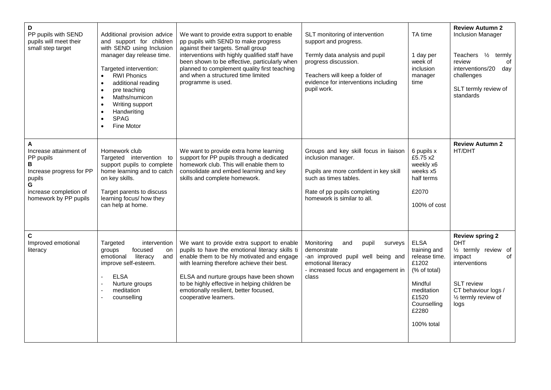| D<br>PP pupils with SEND<br>pupils will meet their<br>small step target                                                                     | Additional provision advice<br>and support for children<br>with SEND using Inclusion<br>manager day release time.<br>Targeted intervention:<br><b>RWI Phonics</b><br>$\bullet$<br>additional reading<br>$\bullet$<br>pre teaching<br>Maths/numicon<br>Writing support<br>Handwriting<br><b>SPAG</b><br>Fine Motor | We want to provide extra support to enable<br>pp pupils with SEND to make progress<br>against their targets. Small group<br>interventions with highly qualified staff have<br>been shown to be effective, particularly when<br>planned to complement quality first teaching<br>and when a structured time limited<br>programme is used.                   | SLT monitoring of intervention<br>support and progress.<br>Termly data analysis and pupil<br>progress discussion.<br>Teachers will keep a folder of<br>evidence for interventions including<br>pupil work. | TA time<br>1 day per<br>week of<br><i>inclusion</i><br>manager<br>time                                                                        | <b>Review Autumn 2</b><br><b>Inclusion Manager</b><br>Teachers 1/2<br>termly<br>review<br>οf<br>interventions/20<br>day<br>challenges<br>SLT termly review of<br>standards                      |
|---------------------------------------------------------------------------------------------------------------------------------------------|-------------------------------------------------------------------------------------------------------------------------------------------------------------------------------------------------------------------------------------------------------------------------------------------------------------------|-----------------------------------------------------------------------------------------------------------------------------------------------------------------------------------------------------------------------------------------------------------------------------------------------------------------------------------------------------------|------------------------------------------------------------------------------------------------------------------------------------------------------------------------------------------------------------|-----------------------------------------------------------------------------------------------------------------------------------------------|-------------------------------------------------------------------------------------------------------------------------------------------------------------------------------------------------|
| A<br>Increase attainment of<br>PP pupils<br>В<br>Increase progress for PP<br>pupils<br>G<br>increase completion of<br>homework by PP pupils | Homework club<br>Targeted intervention to<br>support pupils to complete<br>home learning and to catch<br>on key skills.<br>Target parents to discuss<br>learning focus/ how they<br>can help at home.                                                                                                             | We want to provide extra home learning<br>support for PP pupils through a dedicated<br>homework club. This will enable them to<br>consolidate and embed learning and key<br>skills and complete homework.                                                                                                                                                 | Groups and key skill focus in liaison<br>inclusion manager.<br>Pupils are more confident in key skill<br>such as times tables.<br>Rate of pp pupils completing<br>homework is similar to all.              | 6 pupils x<br>£5.75 x2<br>weekly x6<br>weeks x5<br>half terms<br>£2070<br>100% of cost                                                        | <b>Review Autumn 2</b><br>HT/DHT                                                                                                                                                                |
| C<br>Improved emotional<br>literacy                                                                                                         | Targeted<br>intervention<br>focused<br>groups<br>on<br>literacy<br>emotional<br>and<br>improve self-esteem.<br><b>ELSA</b><br>Nurture groups<br>meditation<br>counselling                                                                                                                                         | We want to provide extra support to enable<br>pupils to have the emotional literacy skills ti<br>enable them to be hly motivated and engage<br>with learning therefore achieve their best.<br>ELSA and nurture groups have been shown<br>to be highly effective in helping children be<br>emotionally resilient, better focused,<br>cooperative learners. | Monitoring<br>and<br>pupil<br>surveys<br>demonstrate<br>-an improved pupil well being and<br>emotional literacy<br>- increased focus and engagement in<br>class                                            | <b>ELSA</b><br>training and<br>release time.<br>£1202<br>(% of total)<br>Mindful<br>meditation<br>£1520<br>Counselling<br>£2280<br>100% total | <b>Review spring 2</b><br><b>DHT</b><br>1/ <sub>2</sub> termly review of<br>impact<br>0f<br>interventions<br><b>SLT</b> review<br>CT behaviour logs /<br>$\frac{1}{2}$ termly review of<br>logs |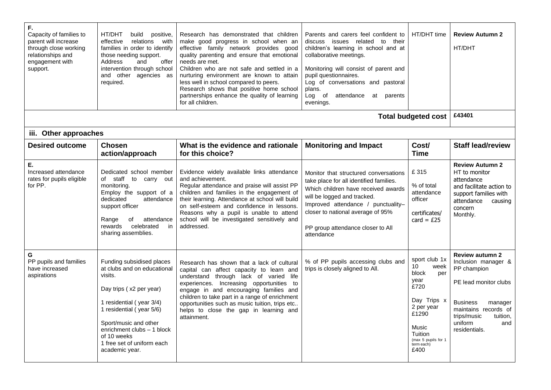| F.<br>Capacity of families to<br>parent will increase<br>through close working<br>relationships and<br>engagement with<br>support. | HT/DHT<br>build<br>positive,<br>effective<br>relations<br>with<br>families in order to identify<br>those needing support.<br>Address<br>and<br>offer<br>intervention through school<br>and other agencies as<br>required.                                                    | Research has demonstrated that children<br>make good progress in school when an<br>effective family network provides good<br>quality parenting and ensure that emotional<br>needs are met.<br>Children who are not safe and settled in a<br>nurturing environment are known to attain<br>less well in school compared to peers.<br>Research shows that positive home school<br>partnerships enhance the quality of learning<br>for all children. | Parents and carers feel confident to<br>discuss issues related to<br>their<br>children's learning in school and at<br>collaborative meetings.<br>Monitoring will consist of parent and<br>pupil questionnaires.<br>Log of conversations and pastoral<br>plans.<br>Log of attendance<br>at parents<br>evenings. | HT/DHT time                                                                                                                                                                     | <b>Review Autumn 2</b><br>HT/DHT                                                                                                                                                                          |
|------------------------------------------------------------------------------------------------------------------------------------|------------------------------------------------------------------------------------------------------------------------------------------------------------------------------------------------------------------------------------------------------------------------------|--------------------------------------------------------------------------------------------------------------------------------------------------------------------------------------------------------------------------------------------------------------------------------------------------------------------------------------------------------------------------------------------------------------------------------------------------|----------------------------------------------------------------------------------------------------------------------------------------------------------------------------------------------------------------------------------------------------------------------------------------------------------------|---------------------------------------------------------------------------------------------------------------------------------------------------------------------------------|-----------------------------------------------------------------------------------------------------------------------------------------------------------------------------------------------------------|
|                                                                                                                                    |                                                                                                                                                                                                                                                                              |                                                                                                                                                                                                                                                                                                                                                                                                                                                  |                                                                                                                                                                                                                                                                                                                | <b>Total budgeted cost</b>                                                                                                                                                      | £43401                                                                                                                                                                                                    |
| iii. Other approaches                                                                                                              |                                                                                                                                                                                                                                                                              |                                                                                                                                                                                                                                                                                                                                                                                                                                                  |                                                                                                                                                                                                                                                                                                                |                                                                                                                                                                                 |                                                                                                                                                                                                           |
| <b>Desired outcome</b>                                                                                                             | <b>Chosen</b><br>action/approach                                                                                                                                                                                                                                             | What is the evidence and rationale<br>for this choice?                                                                                                                                                                                                                                                                                                                                                                                           | <b>Monitoring and Impact</b>                                                                                                                                                                                                                                                                                   | Cost/<br><b>Time</b>                                                                                                                                                            | <b>Staff lead/review</b>                                                                                                                                                                                  |
| Е.<br>Increased attendance<br>rates for pupils eligible<br>for PP.                                                                 | Dedicated school member<br>of staff<br>to carry out<br>monitoring.<br>Employ the support of a<br>dedicated<br>attendance<br>support officer<br>Range<br>attendance<br>оf<br>rewards<br>celebrated<br>in<br>sharing assemblies.                                               | Evidence widely available links attendance<br>and achievement.<br>Regular attendance and praise will assist PP<br>children and families in the engagement of<br>their learning. Attendance at school will build<br>on self-esteem and confidence in lessons.<br>Reasons why a pupil is unable to attend<br>school will be investigated sensitively and<br>addressed.                                                                             | Monitor that structured conversations<br>take place for all identified families.<br>Which children have received awards<br>will be logged and tracked.<br>Improved attendance / punctuality-<br>closer to national average of 95%<br>PP group attendance closer to All<br>attendance                           | £315<br>% of total<br>attendance<br>officer<br>certificates/<br>card = $£25$                                                                                                    | <b>Review Autumn 2</b><br>HT to monitor<br>attendance<br>and facilitate action to<br>support families with<br>attendance<br>causing<br>concern<br>Monthly.                                                |
| G<br>PP pupils and families<br>have increased<br>aspirations                                                                       | Funding subsidised places<br>at clubs and on educational<br>visits.<br>Day trips (x2 per year)<br>1 residential (year 3/4)<br>1 residential (year 5/6)<br>Sport/music and other<br>enrichment clubs - 1 block<br>of 10 weeks<br>1 free set of uniform each<br>academic year. | Research has shown that a lack of cultural<br>capital can affect capacity to learn and<br>understand through lack of varied life<br>experiences. Increasing opportunities to<br>engage in and encouraging families and<br>children to take part in a range of enrichment<br>opportunities such as music tuition, trips etc<br>helps to close the gap in learning and<br>attainment.                                                              | % of PP pupils accessing clubs and<br>trips is closely aligned to All.                                                                                                                                                                                                                                         | sport club 1x<br>10 <sup>°</sup><br>week<br>block<br>per<br>year<br>£720<br>Day Trips x<br>2 per year<br>£1290<br>Music<br>Tuition<br>(max 5 pupils for 1<br>term each)<br>£400 | <b>Review autumn 2</b><br>Inclusion manager &<br>PP champion<br>PE lead monitor clubs<br><b>Business</b><br>manager<br>maintains records of<br>trips/music<br>tuition,<br>uniform<br>and<br>residentials. |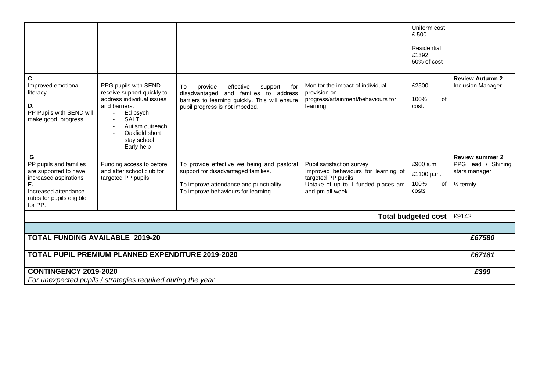|                                                                                                                                                     |                                                                                                                                                                                               |                                                                                                                                                                              |                                                                                                                                                  | Uniform cost                                   |                                                                                       |
|-----------------------------------------------------------------------------------------------------------------------------------------------------|-----------------------------------------------------------------------------------------------------------------------------------------------------------------------------------------------|------------------------------------------------------------------------------------------------------------------------------------------------------------------------------|--------------------------------------------------------------------------------------------------------------------------------------------------|------------------------------------------------|---------------------------------------------------------------------------------------|
|                                                                                                                                                     |                                                                                                                                                                                               |                                                                                                                                                                              |                                                                                                                                                  | £500                                           |                                                                                       |
|                                                                                                                                                     |                                                                                                                                                                                               |                                                                                                                                                                              |                                                                                                                                                  | Residential<br>£1392<br>50% of cost            |                                                                                       |
| С<br>Improved emotional<br>literacy<br>D.<br>PP Pupils with SEND will<br>make good progress                                                         | PPG pupils with SEND<br>receive support quickly to<br>address individual issues<br>and barriers.<br>Ed psych<br><b>SALT</b><br>Autism outreach<br>Oakfield short<br>stay school<br>Early help | provide<br>effective<br>To<br>support<br>for<br>and families to address<br>disadvantaged<br>barriers to learning quickly. This will ensure<br>pupil progress is not impeded. | Monitor the impact of individual<br>provision on<br>progress/attainment/behaviours for<br>learning.                                              | £2500<br>100%<br>of<br>cost.                   | <b>Review Autumn 2</b><br><b>Inclusion Manager</b>                                    |
| G<br>PP pupils and families<br>are supported to have<br>increased aspirations<br>Е.<br>Increased attendance<br>rates for pupils eligible<br>for PP. | Funding access to before<br>and after school club for<br>targeted PP pupils                                                                                                                   | To provide effective wellbeing and pastoral<br>support for disadvantaged families.<br>To improve attendance and punctuality.<br>To improve behaviours for learning.          | Pupil satisfaction survey<br>Improved behaviours for learning of<br>targeted PP pupils.<br>Uptake of up to 1 funded places am<br>and pm all week | £900 a.m.<br>£1100 p.m.<br>100%<br>οf<br>costs | <b>Review summer 2</b><br>PPG lead / Shining<br>stars manager<br>$\frac{1}{2}$ termly |
|                                                                                                                                                     |                                                                                                                                                                                               |                                                                                                                                                                              |                                                                                                                                                  | <b>Total budgeted cost</b>                     | £9142                                                                                 |
|                                                                                                                                                     |                                                                                                                                                                                               |                                                                                                                                                                              |                                                                                                                                                  |                                                |                                                                                       |
| <b>TOTAL FUNDING AVAILABLE 2019-20</b>                                                                                                              |                                                                                                                                                                                               |                                                                                                                                                                              |                                                                                                                                                  |                                                | £67580                                                                                |
|                                                                                                                                                     | <b>TOTAL PUPIL PREMIUM PLANNED EXPENDITURE 2019-2020</b>                                                                                                                                      |                                                                                                                                                                              |                                                                                                                                                  |                                                | £67181                                                                                |
| <b>CONTINGENCY 2019-2020</b>                                                                                                                        | For unexpected pupils / strategies required during the year                                                                                                                                   |                                                                                                                                                                              |                                                                                                                                                  |                                                | £399                                                                                  |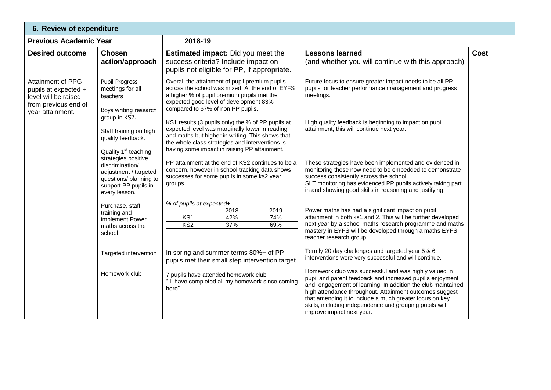|                                                                                                                      | 6. Review of expenditure                                                                                                           |                                                                                                                                                                                                                                                            |                                                                                                                                                                                                                                                                                                                                                                                                 |             |  |  |  |
|----------------------------------------------------------------------------------------------------------------------|------------------------------------------------------------------------------------------------------------------------------------|------------------------------------------------------------------------------------------------------------------------------------------------------------------------------------------------------------------------------------------------------------|-------------------------------------------------------------------------------------------------------------------------------------------------------------------------------------------------------------------------------------------------------------------------------------------------------------------------------------------------------------------------------------------------|-------------|--|--|--|
| <b>Previous Academic Year</b>                                                                                        |                                                                                                                                    | 2018-19                                                                                                                                                                                                                                                    |                                                                                                                                                                                                                                                                                                                                                                                                 |             |  |  |  |
| <b>Desired outcome</b>                                                                                               | <b>Chosen</b><br>action/approach                                                                                                   | <b>Estimated impact:</b> Did you meet the<br>success criteria? Include impact on<br>pupils not eligible for PP, if appropriate.                                                                                                                            | <b>Lessons learned</b><br>(and whether you will continue with this approach)                                                                                                                                                                                                                                                                                                                    | <b>Cost</b> |  |  |  |
| <b>Attainment of PPG</b><br>pupils at expected +<br>level will be raised<br>from previous end of<br>year attainment. | <b>Pupil Progress</b><br>meetings for all<br>teachers<br>Boys writing research                                                     | Overall the attainment of pupil premium pupils<br>across the school was mixed. At the end of EYFS<br>a higher % of pupil premium pupils met the<br>expected good level of development 83%<br>compared to 67% of non PP pupils.                             | Future focus to ensure greater impact needs to be all PP<br>pupils for teacher performance management and progress<br>meetings.                                                                                                                                                                                                                                                                 |             |  |  |  |
|                                                                                                                      | group in KS2.<br>Staff training on high<br>quality feedback.<br>Quality 1 <sup>st</sup> teaching                                   | KS1 results (3 pupils only) the % of PP pupils at<br>expected level was marginally lower in reading<br>and maths but higher in writing. This shows that<br>the whole class strategies and interventions is<br>having some impact in raising PP attainment. | High quality feedback is beginning to impact on pupil<br>attainment, this will continue next year.                                                                                                                                                                                                                                                                                              |             |  |  |  |
|                                                                                                                      | strategies positive<br>discrimination/<br>adjustment / targeted<br>questions/ planning to<br>support PP pupils in<br>every lesson. | PP attainment at the end of KS2 continues to be a<br>concern, however in school tracking data shows<br>successes for some pupils in some ks2 year<br>groups.                                                                                               | These strategies have been implemented and evidenced in<br>monitoring these now need to be embedded to demonstrate<br>success consistently across the school.<br>SLT monitoring has evidenced PP pupils actively taking part<br>in and showing good skills in reasoning and justifying.                                                                                                         |             |  |  |  |
|                                                                                                                      | Purchase, staff<br>training and<br>implement Power<br>maths across the<br>school.                                                  | % of pupils at expected+<br>2018<br>2019<br>KS1<br>42%<br>74%<br>KS <sub>2</sub><br>37%<br>69%                                                                                                                                                             | Power maths has had a significant impact on pupil<br>attainment in both ks1 and 2. This will be further developed<br>next year by a school maths research programme and maths<br>mastery in EYFS will be developed through a maths EYFS<br>teacher research group.                                                                                                                              |             |  |  |  |
|                                                                                                                      | Targeted intervention                                                                                                              | In spring and summer terms 80%+ of PP<br>pupils met their small step intervention target.                                                                                                                                                                  | Termly 20 day challenges and targeted year 5 & 6<br>interventions were very successful and will continue.                                                                                                                                                                                                                                                                                       |             |  |  |  |
|                                                                                                                      | Homework club                                                                                                                      | 7 pupils have attended homework club<br>"I have completed all my homework since coming<br>here"                                                                                                                                                            | Homework club was successful and was highly valued in<br>pupil and parent feedback and increased pupil's enjoyment<br>and engagement of learning. In addition the club maintained<br>high attendance throughout. Attainment outcomes suggest<br>that amending it to include a much greater focus on key<br>skills, including independence and grouping pupils will<br>improve impact next year. |             |  |  |  |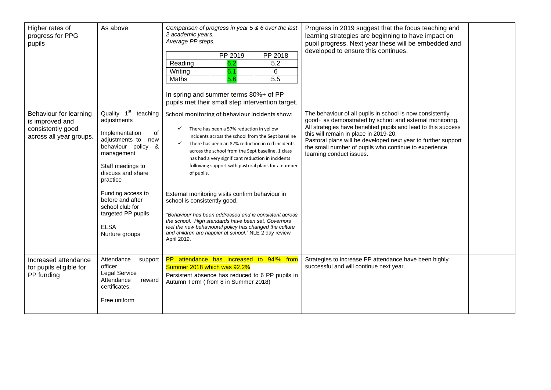| Higher rates of<br>progress for PPG<br>pupils                                             | As above                                                                                                                                                                                                                                                                                                         | Comparison of progress in year 5 & 6 over the last<br>2 academic years.<br>Average PP steps.<br>PP 2019<br>PP 2018<br>Reading<br>6.2<br>5.2<br>6.1<br>Writing<br>6<br>5.6<br>$\overline{5.5}$<br>Maths<br>In spring and summer terms 80%+ of PP<br>pupils met their small step intervention target.                                                                                                                                                                                                                                                                                                                                                                                                                                 | Progress in 2019 suggest that the focus teaching and<br>learning strategies are beginning to have impact on<br>pupil progress. Next year these will be embedded and<br>developed to ensure this continues.                                                                                                                                                                            |  |
|-------------------------------------------------------------------------------------------|------------------------------------------------------------------------------------------------------------------------------------------------------------------------------------------------------------------------------------------------------------------------------------------------------------------|-------------------------------------------------------------------------------------------------------------------------------------------------------------------------------------------------------------------------------------------------------------------------------------------------------------------------------------------------------------------------------------------------------------------------------------------------------------------------------------------------------------------------------------------------------------------------------------------------------------------------------------------------------------------------------------------------------------------------------------|---------------------------------------------------------------------------------------------------------------------------------------------------------------------------------------------------------------------------------------------------------------------------------------------------------------------------------------------------------------------------------------|--|
| Behaviour for learning<br>is improved and<br>consistently good<br>across all year groups. | Quality 1 <sup>st</sup><br>teaching<br>adjustments<br>Implementation<br>οf<br>adjustments to<br>new<br>behaviour policy &<br>management<br>Staff meetings to<br>discuss and share<br>practice<br>Funding access to<br>before and after<br>school club for<br>targeted PP pupils<br><b>ELSA</b><br>Nurture groups | School monitoring of behaviour incidents show:<br>There has been a 57% reduction in yellow<br>✓<br>incidents across the school from the Sept baseline<br>There has been an 82% reduction in red incidents<br>✓<br>across the school from the Sept baseline. 1 class<br>has had a very significant reduction in incidents<br>following support with pastoral plans for a number<br>of pupils.<br>External monitoring visits confirm behaviour in<br>school is consistently good.<br>"Behaviour has been addressed and is consistent across<br>the school. High standards have been set, Governors<br>feel the new behavioural policy has changed the culture<br>and children are happier at school." NLE 2 day review<br>April 2019. | The behaviour of all pupils in school is now consistently<br>good+ as demonstrated by school and external monitoring.<br>All strategies have benefited pupils and lead to this success<br>this will remain in place in 2019-20.<br>Pastoral plans will be developed next year to further support<br>the small number of pupils who continue to experience<br>learning conduct issues. |  |
| Increased attendance<br>for pupils eligible for<br>PP funding                             | Attendance<br>support<br>officer<br>Legal Service<br>Attendance<br>reward<br>certificates.<br>Free uniform                                                                                                                                                                                                       | PP attendance has increased to 94!% from<br>Summer 2018 which was 92.2%<br>Persistent absence has reduced to 6 PP pupils in<br>Autumn Term (from 8 in Summer 2018)                                                                                                                                                                                                                                                                                                                                                                                                                                                                                                                                                                  | Strategies to increase PP attendance have been highly<br>successful and will continue next year.                                                                                                                                                                                                                                                                                      |  |